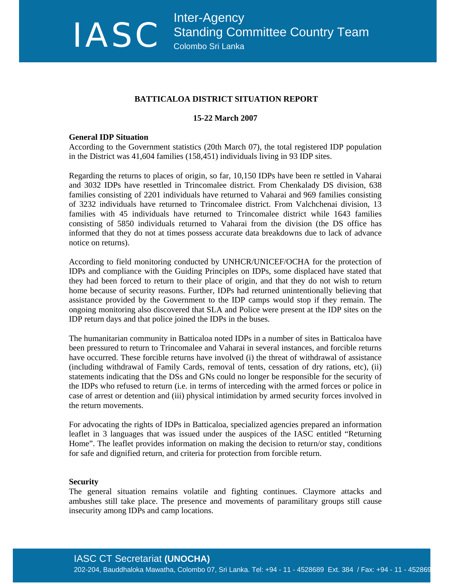# **BATTICALOA DISTRICT SITUATION REPORT**

### **15-22 March 2007**

#### **General IDP Situation**

According to the Government statistics (20th March 07), the total registered IDP population in the District was 41,604 families (158,451) individuals living in 93 IDP sites.

Regarding the returns to places of origin, so far, 10,150 IDPs have been re settled in Vaharai and 3032 IDPs have resettled in Trincomalee district. From Chenkalady DS division, 638 families consisting of 2201 individuals have returned to Vaharai and 969 families consisting of 3232 individuals have returned to Trincomalee district. From Valchchenai division, 13 families with 45 individuals have returned to Trincomalee district while 1643 families consisting of 5850 individuals returned to Vaharai from the division (the DS office has informed that they do not at times possess accurate data breakdowns due to lack of advance notice on returns).

According to field monitoring conducted by UNHCR/UNICEF/OCHA for the protection of IDPs and compliance with the Guiding Principles on IDPs, some displaced have stated that they had been forced to return to their place of origin, and that they do not wish to return home because of security reasons. Further, IDPs had returned unintentionally believing that assistance provided by the Government to the IDP camps would stop if they remain. The ongoing monitoring also discovered that SLA and Police were present at the IDP sites on the IDP return days and that police joined the IDPs in the buses.

The humanitarian community in Batticaloa noted IDPs in a number of sites in Batticaloa have been pressured to return to Trincomalee and Vaharai in several instances, and forcible returns have occurred. These forcible returns have involved (i) the threat of withdrawal of assistance (including withdrawal of Family Cards, removal of tents, cessation of dry rations, etc), (ii) statements indicating that the DSs and GNs could no longer be responsible for the security of the IDPs who refused to return (i.e. in terms of interceding with the armed forces or police in case of arrest or detention and (iii) physical intimidation by armed security forces involved in the return movements.

For advocating the rights of IDPs in Batticaloa, specialized agencies prepared an information leaflet in 3 languages that was issued under the auspices of the IASC entitled "Returning Home". The leaflet provides information on making the decision to return/or stay, conditions for safe and dignified return, and criteria for protection from forcible return.

#### **Security**

The general situation remains volatile and fighting continues. Claymore attacks and ambushes still take place. The presence and movements of paramilitary groups still cause insecurity among IDPs and camp locations.

# IASC CT Secretariat **(UNOCHA)**

202-204, Bauddhaloka Mawatha, Colombo 07, Sri Lanka. Tel: +94 - 11 - 4528689 Ext. 384 / Fax: +94 - 11 - 452869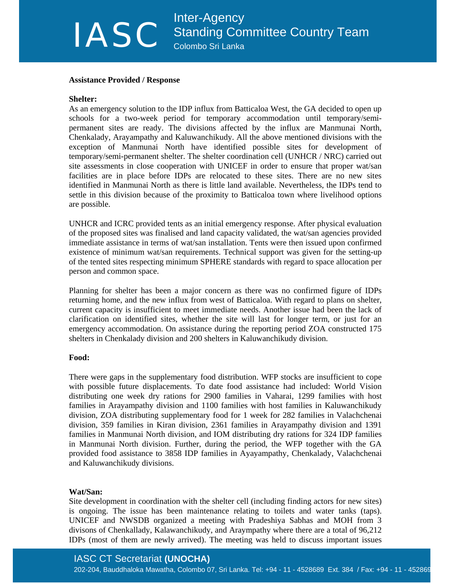# Inter-Agency<br>
Standing Con<br>
Colombo Sri Lanka Standing Committee Country Team Colombo Sri Lanka

#### **Assistance Provided / Response**

### **Shelter:**

As an emergency solution to the IDP influx from Batticaloa West, the GA decided to open up schools for a two-week period for temporary accommodation until temporary/semipermanent sites are ready. The divisions affected by the influx are Manmunai North, Chenkalady, Arayampathy and Kaluwanchikudy. All the above mentioned divisions with the exception of Manmunai North have identified possible sites for development of temporary/semi-permanent shelter. The shelter coordination cell (UNHCR / NRC) carried out site assessments in close cooperation with UNICEF in order to ensure that proper wat/san facilities are in place before IDPs are relocated to these sites. There are no new sites identified in Manmunai North as there is little land available. Nevertheless, the IDPs tend to settle in this division because of the proximity to Batticaloa town where livelihood options are possible.

UNHCR and ICRC provided tents as an initial emergency response. After physical evaluation of the proposed sites was finalised and land capacity validated, the wat/san agencies provided immediate assistance in terms of wat/san installation. Tents were then issued upon confirmed existence of minimum wat/san requirements. Technical support was given for the setting-up of the tented sites respecting minimum SPHERE standards with regard to space allocation per person and common space.

Planning for shelter has been a major concern as there was no confirmed figure of IDPs returning home, and the new influx from west of Batticaloa. With regard to plans on shelter, current capacity is insufficient to meet immediate needs. Another issue had been the lack of clarification on identified sites, whether the site will last for longer term, or just for an emergency accommodation. On assistance during the reporting period ZOA constructed 175 shelters in Chenkalady division and 200 shelters in Kaluwanchikudy division.

# **Food:**

There were gaps in the supplementary food distribution. WFP stocks are insufficient to cope with possible future displacements. To date food assistance had included: World Vision distributing one week dry rations for 2900 families in Vaharai, 1299 families with host families in Arayampathy division and 1100 families with host families in Kaluwanchikudy division, ZOA distributing supplementary food for 1 week for 282 families in Valachchenai division, 359 families in Kiran division, 2361 families in Arayampathy division and 1391 families in Manmunai North division, and IOM distributing dry rations for 324 IDP families in Manmunai North division. Further, during the period, the WFP together with the GA provided food assistance to 3858 IDP families in Ayayampathy, Chenkalady, Valachchenai and Kaluwanchikudy divisions.

# **Wat/San:**

Site development in coordination with the shelter cell (including finding actors for new sites) is ongoing. The issue has been maintenance relating to toilets and water tanks (taps). UNICEF and NWSDB organized a meeting with Pradeshiya Sabhas and MOH from 3 divisons of Chenkallady, Kalawanchikudy, and Araympathy where there are a total of 96,212 IDPs (most of them are newly arrived). The meeting was held to discuss important issues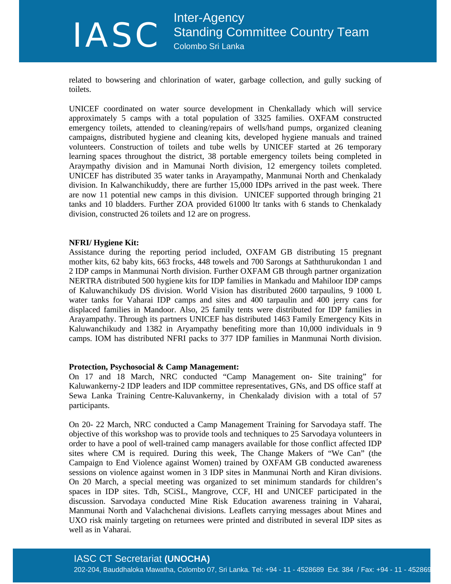# Inter-Agency<br>
Standing Con<br>
Colombo Sri Lanka Standing Committee Country Team Colombo Sri Lanka

related to bowsering and chlorination of water, garbage collection, and gully sucking of toilets.

UNICEF coordinated on water source development in Chenkallady which will service approximately 5 camps with a total population of 3325 families. OXFAM constructed emergency toilets, attended to cleaning/repairs of wells/hand pumps, organized cleaning campaigns, distributed hygiene and cleaning kits, developed hygiene manuals and trained volunteers. Construction of toilets and tube wells by UNICEF started at 26 temporary learning spaces throughout the district, 38 portable emergency toilets being completed in Araympathy division and in Mamunai North division, 12 emergency toilets completed. UNICEF has distributed 35 water tanks in Arayampathy, Manmunai North and Chenkalady division. In Kalwanchikuddy, there are further 15,000 IDPs arrived in the past week. There are now 11 potential new camps in this division. UNICEF supported through bringing 21 tanks and 10 bladders. Further ZOA provided 61000 ltr tanks with 6 stands to Chenkalady division, constructed 26 toilets and 12 are on progress.

#### **NFRI/ Hygiene Kit:**

Assistance during the reporting period included, OXFAM GB distributing 15 pregnant mother kits, 62 baby kits, 663 frocks, 448 towels and 700 Sarongs at Saththurukondan 1 and 2 IDP camps in Manmunai North division. Further OXFAM GB through partner organization NERTRA distributed 500 hygiene kits for IDP families in Mankadu and Mahiloor IDP camps of Kaluwanchikudy DS division. World Vision has distributed 2600 tarpaulins, 9 1000 L water tanks for Vaharai IDP camps and sites and 400 tarpaulin and 400 jerry cans for displaced families in Mandoor. Also, 25 family tents were distributed for IDP families in Arayampathy. Through its partners UNICEF has distributed 1463 Family Emergency Kits in Kaluwanchikudy and 1382 in Aryampathy benefiting more than 10,000 individuals in 9 camps. IOM has distributed NFRI packs to 377 IDP families in Manmunai North division.

#### **Protection, Psychosocial & Camp Management:**

On 17 and 18 March, NRC conducted "Camp Management on- Site training" for Kaluwankerny-2 IDP leaders and IDP committee representatives, GNs, and DS office staff at Sewa Lanka Training Centre-Kaluvankerny, in Chenkalady division with a total of 57 participants.

On 20- 22 March, NRC conducted a Camp Management Training for Sarvodaya staff. The objective of this workshop was to provide tools and techniques to 25 Sarvodaya volunteers in order to have a pool of well-trained camp managers available for those conflict affected IDP sites where CM is required. During this week, The Change Makers of "We Can" (the Campaign to End Violence against Women) trained by OXFAM GB conducted awareness sessions on violence against women in 3 IDP sites in Manmunai North and Kiran divisions. On 20 March, a special meeting was organized to set minimum standards for children's spaces in IDP sites. Tdh, SCiSL, Mangrove, CCF, HI and UNICEF participated in the discussion. Sarvodaya conducted Mine Risk Education awareness training in Vaharai, Manmunai North and Valachchenai divisions. Leaflets carrying messages about Mines and UXO risk mainly targeting on returnees were printed and distributed in several IDP sites as well as in Vaharai.

# IASC CT Secretariat **(UNOCHA)**

202-204, Bauddhaloka Mawatha, Colombo 07, Sri Lanka. Tel: +94 - 11 - 4528689 Ext. 384 / Fax: +94 - 11 - 452869